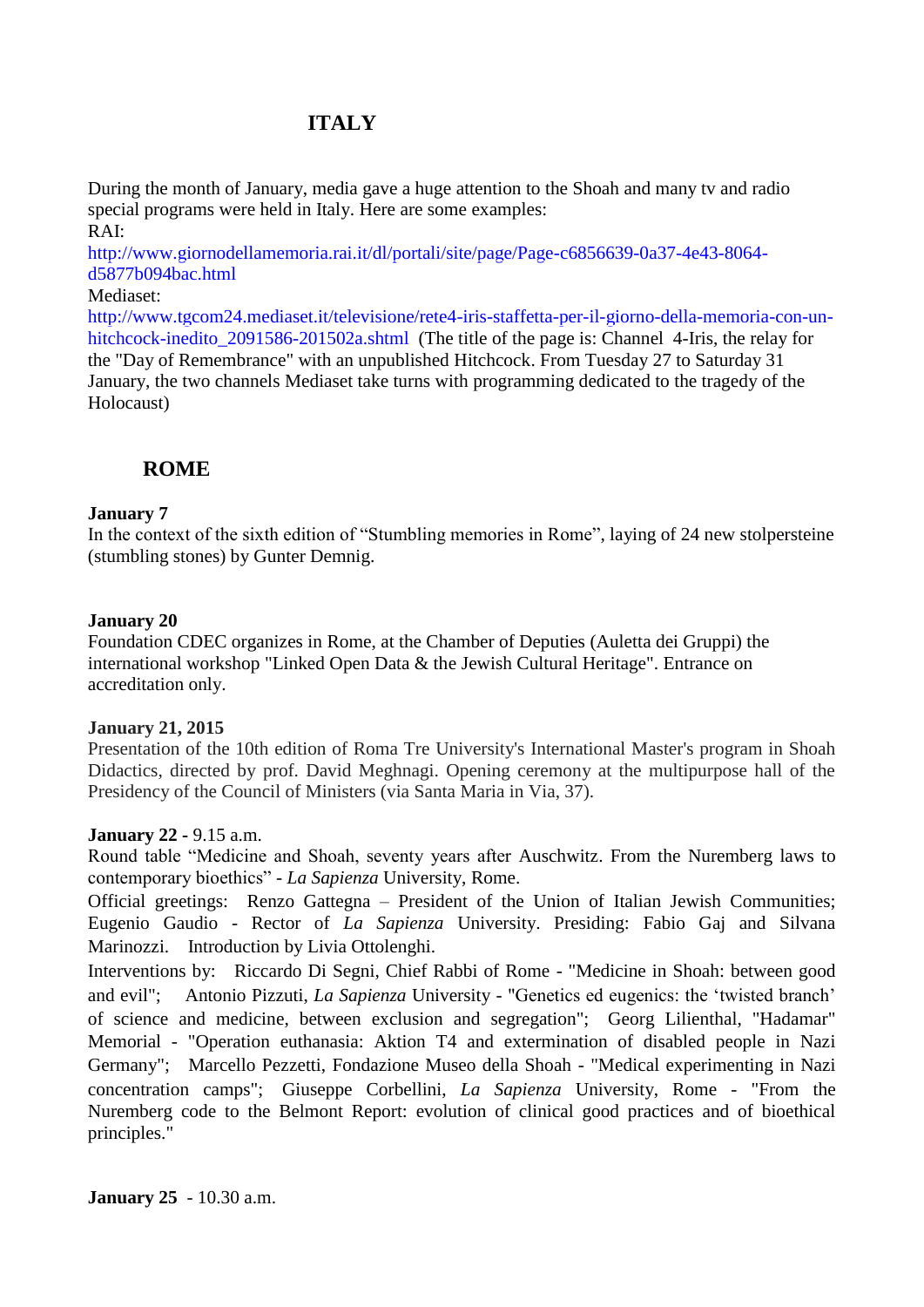# **ITALY**

During the month of January, media gave a huge attention to the Shoah and many tv and radio special programs were held in Italy. Here are some examples: RAI:

[http://www.giornodellamemoria.rai.it/dl/portali/site/page/Page-c6856639-0a37-4e43-8064](http://www.giornodellamemoria.rai.it/dl/portali/site/page/Page-c6856639-0a37-4e43-8064-d5877b094bac.html) [d5877b094bac.html](http://www.giornodellamemoria.rai.it/dl/portali/site/page/Page-c6856639-0a37-4e43-8064-d5877b094bac.html)

#### Mediaset:

[http://www.tgcom24.mediaset.it/televisione/rete4-iris-staffetta-per-il-giorno-della-memoria-con-un](http://www.tgcom24.mediaset.it/televisione/rete4-iris-staffetta-per-il-giorno-della-memoria-con-un-hitchcock-inedito_2091586-201502a.shtml)hitchcock-inedito 2091586-201502a.shtml (The title of the page is: Channel 4-Iris, the relay for the "Day of Remembrance" with an unpublished Hitchcock. From Tuesday 27 to Saturday 31 January, the two channels Mediaset take turns with programming dedicated to the tragedy of the Holocaust)

# **ROME**

#### **January 7**

In the context of the sixth edition of "Stumbling memories in Rome", laying of 24 new stolpersteine (stumbling stones) by Gunter Demnig.

#### **January 20**

Foundation CDEC organizes in Rome, at the Chamber of Deputies (Auletta dei Gruppi) the international workshop "Linked Open Data & the Jewish Cultural Heritage". Entrance on accreditation only.

#### **January 21, 2015**

Presentation of the 10th edition of Roma Tre University's International Master's program in Shoah Didactics, directed by prof. David Meghnagi. Opening ceremony at the multipurpose hall of the Presidency of the Council of Ministers (via Santa Maria in Via, 37).

#### **January 22 -** 9.15 a.m.

Round table "Medicine and Shoah, seventy years after Auschwitz. From the Nuremberg laws to contemporary bioethics" - *La Sapienza* University, Rome.

Official greetings: Renzo Gattegna – President of the Union of Italian Jewish Communities; Eugenio Gaudio - Rector of *La Sapienza* University. Presiding: Fabio Gaj and Silvana Marinozzi. Introduction by Livia Ottolenghi.

Interventions by: Riccardo Di Segni, Chief Rabbi of Rome - "Medicine in Shoah: between good and evil"; Antonio Pizzuti, *La Sapienza* University - "Genetics ed eugenics: the 'twisted branch' of science and medicine, between exclusion and segregation"; Georg Lilienthal, "Hadamar" Memorial - "Operation euthanasia: Aktion T4 and extermination of disabled people in Nazi Germany"; Marcello Pezzetti, Fondazione Museo della Shoah - "Medical experimenting in Nazi concentration camps"; Giuseppe Corbellini, *La Sapienza* University, Rome - "From the Nuremberg code to the Belmont Report: evolution of clinical good practices and of bioethical principles."

**January 25** - 10.30 a.m.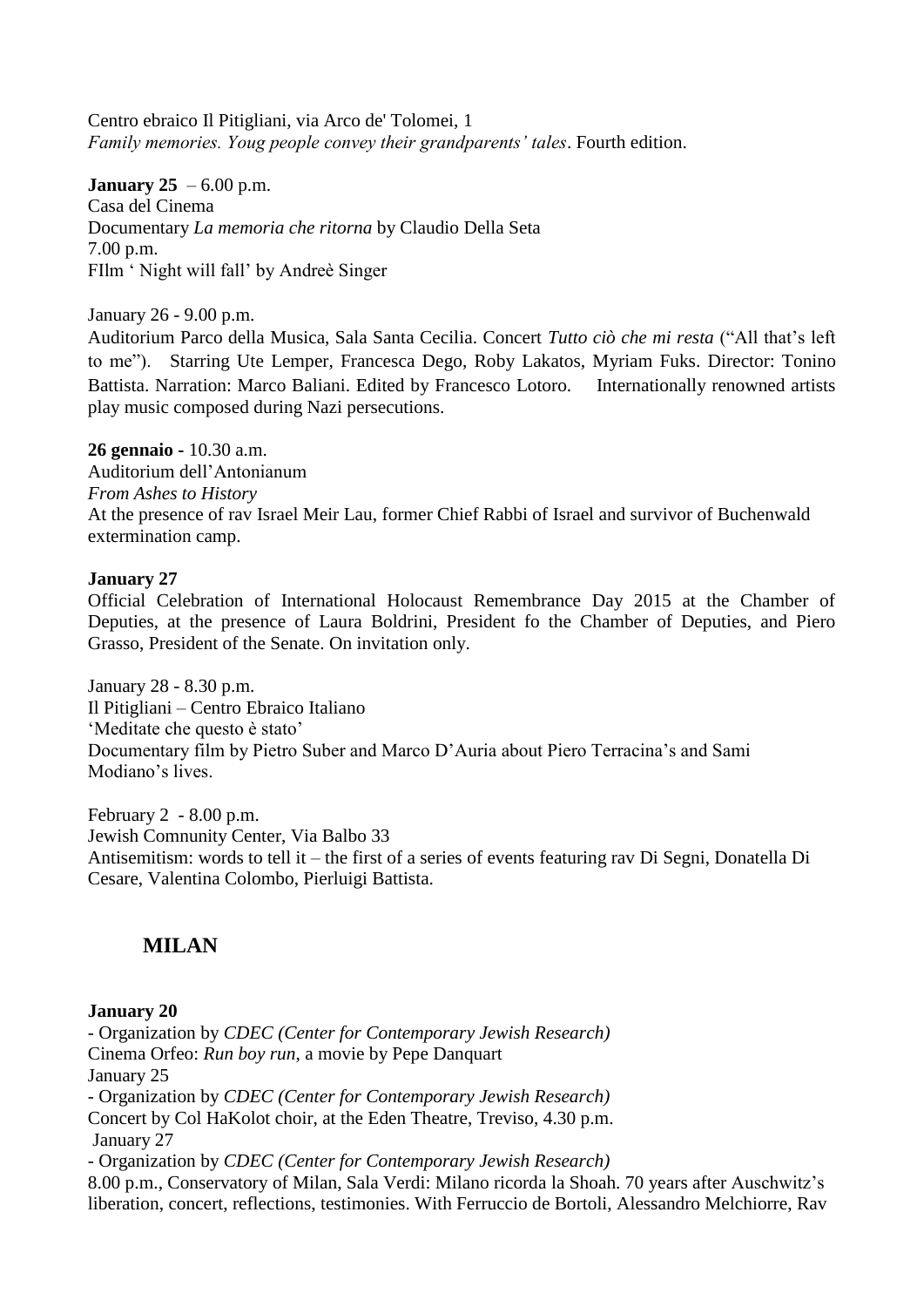Centro ebraico Il Pitigliani, via Arco de' Tolomei, 1 *Family memories. Youg people convey their grandparents' tales*. Fourth edition.

#### **January 25** – 6.00 p.m.

Casa del Cinema Documentary *La memoria che ritorna* by Claudio Della Seta 7.00 p.m. FIlm ' Night will fall' by Andreè Singer

January 26 - 9.00 p.m.

Auditorium Parco della Musica, Sala Santa Cecilia. Concert *Tutto ciò che mi resta* ("All that's left to me"). Starring Ute Lemper, Francesca Dego, Roby Lakatos, Myriam Fuks. Director: Tonino Battista. Narration: Marco Baliani. Edited by Francesco Lotoro. Internationally renowned artists play music composed during Nazi persecutions.

**26 gennaio -** 10.30 a.m. Auditorium dell'Antonianum *From Ashes to History* At the presence of rav Israel Meir Lau, former Chief Rabbi of Israel and survivor of Buchenwald extermination camp.

#### **January 27**

Official Celebration of International Holocaust Remembrance Day 2015 at the Chamber of Deputies, at the presence of Laura Boldrini, President fo the Chamber of Deputies, and Piero Grasso, President of the Senate. On invitation only.

January 28 - 8.30 p.m. Il Pitigliani – Centro Ebraico Italiano 'Meditate che questo è stato' Documentary film by Pietro Suber and Marco D'Auria about Piero Terracina's and Sami Modiano's lives.

February 2 - 8.00 p.m. Jewish Comnunity Center, Via Balbo 33 Antisemitism: words to tell it – the first of a series of events featuring rav Di Segni, Donatella Di Cesare, Valentina Colombo, Pierluigi Battista.

# **MILAN**

## **January 20**

- Organization by *CDEC (Center for Contemporary Jewish Research)* Cinema Orfeo: *Run boy run*, a movie by Pepe Danquart January 25 - Organization by *CDEC (Center for Contemporary Jewish Research)* Concert by Col HaKolot choir, at the Eden Theatre, Treviso, 4.30 p.m. January 27 - Organization by *CDEC (Center for Contemporary Jewish Research)* 8.00 p.m., Conservatory of Milan, Sala Verdi: Milano ricorda la Shoah. 70 years after Auschwitz's liberation, concert, reflections, testimonies. With Ferruccio de Bortoli, Alessandro Melchiorre, Rav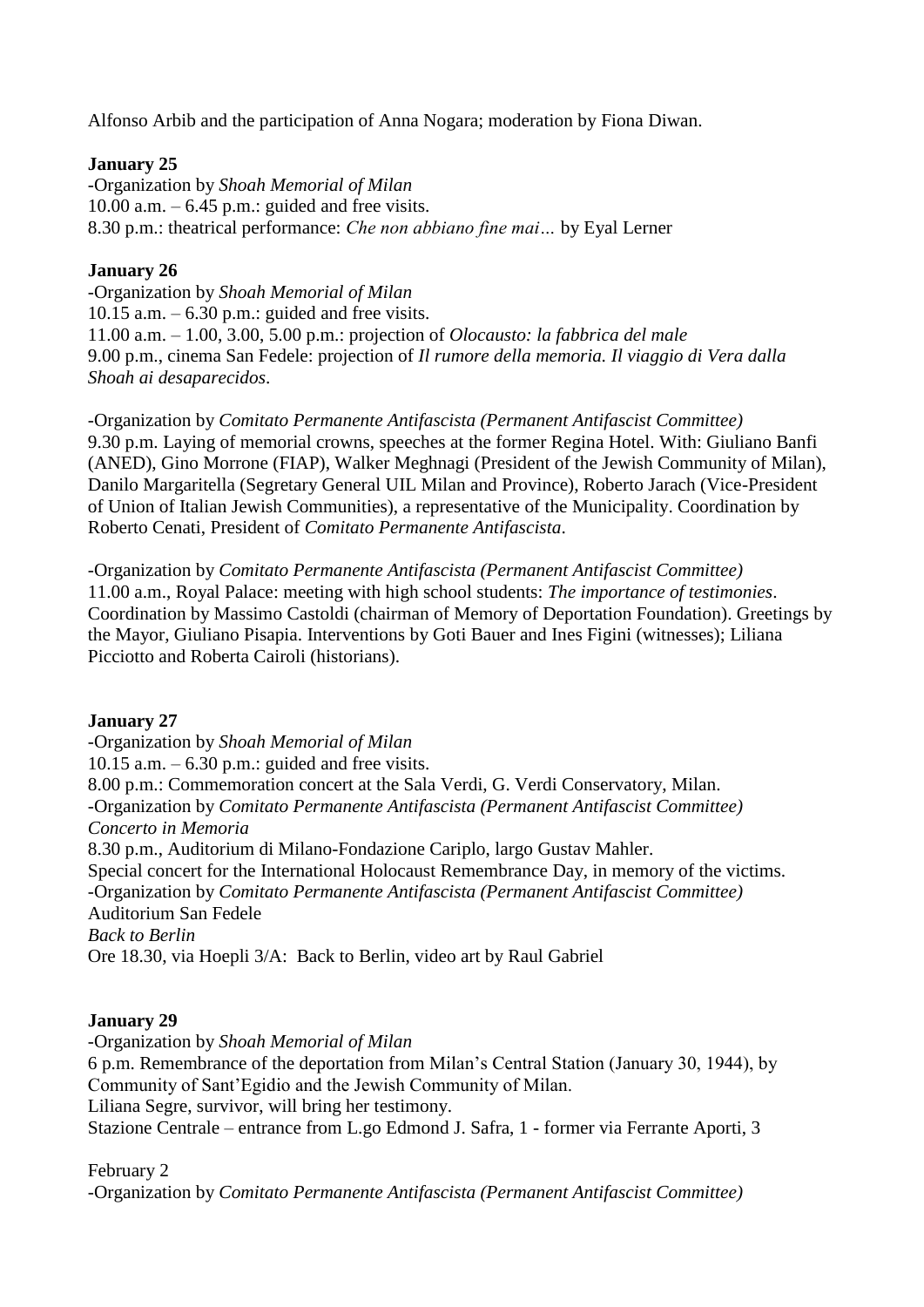Alfonso Arbib and the participation of Anna Nogara; moderation by Fiona Diwan.

# **January 25**

-Organization by *Shoah Memorial of Milan* 10.00 a.m.  $-6.45$  p.m.: guided and free visits. 8.30 p.m.: theatrical performance: *Che non abbiano fine mai…* by Eyal Lerner

# **January 26**

-Organization by *Shoah Memorial of Milan* 10.15 a.m.  $-6.30$  p.m.: guided and free visits. 11.00 a.m. – 1.00, 3.00, 5.00 p.m.: projection of *Olocausto: la fabbrica del male* 9.00 p.m., cinema San Fedele: projection of *Il rumore della memoria. Il viaggio di Vera dalla Shoah ai desaparecidos*.

-Organization by *Comitato Permanente Antifascista (Permanent Antifascist Committee)* 9.30 p.m. Laying of memorial crowns, speeches at the former Regina Hotel. With: Giuliano Banfi (ANED), Gino Morrone (FIAP), Walker Meghnagi (President of the Jewish Community of Milan), Danilo Margaritella (Segretary General UIL Milan and Province), Roberto Jarach (Vice-President of Union of Italian Jewish Communities), a representative of the Municipality. Coordination by Roberto Cenati, President of *Comitato Permanente Antifascista*.

-Organization by *Comitato Permanente Antifascista (Permanent Antifascist Committee)* 11.00 a.m., Royal Palace: meeting with high school students: *The importance of testimonies*. Coordination by Massimo Castoldi (chairman of Memory of Deportation Foundation). Greetings by the Mayor, Giuliano Pisapia. Interventions by Goti Bauer and Ines Figini (witnesses); Liliana Picciotto and Roberta Cairoli (historians).

## **January 27**

-Organization by *Shoah Memorial of Milan* 10.15 a.m.  $-6.30$  p.m.: guided and free visits. 8.00 p.m.: Commemoration concert at the Sala Verdi, G. Verdi Conservatory, Milan. -Organization by *Comitato Permanente Antifascista (Permanent Antifascist Committee) Concerto in Memoria* 8.30 p.m., Auditorium di Milano-Fondazione Cariplo, largo Gustav Mahler. Special concert for the International Holocaust Remembrance Day, in memory of the victims. -Organization by *Comitato Permanente Antifascista (Permanent Antifascist Committee)* Auditorium San Fedele *Back to Berlin* Ore 18.30, via Hoepli 3/A: Back to Berlin, video art by Raul Gabriel

## **January 29**

-Organization by *Shoah Memorial of Milan* 6 p.m. Remembrance of the deportation from Milan's Central Station (January 30, 1944), by Community of Sant'Egidio and the Jewish Community of Milan. Liliana Segre, survivor, will bring her testimony. Stazione Centrale – entrance from L.go Edmond J. Safra, 1 - former via Ferrante Aporti, 3

## February 2

-Organization by *Comitato Permanente Antifascista (Permanent Antifascist Committee)*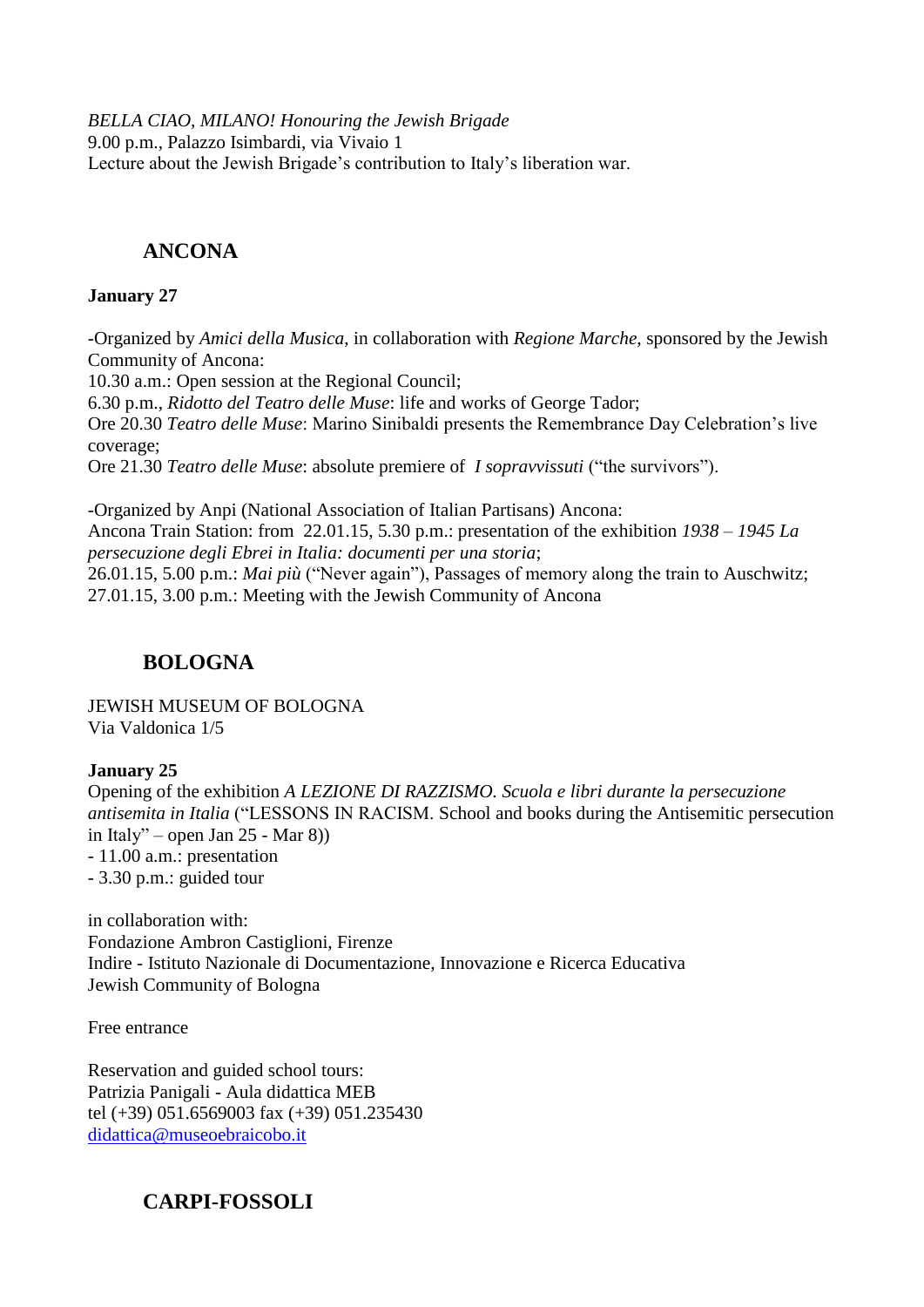*BELLA CIAO, MILANO! Honouring the Jewish Brigade* 9.00 p.m., Palazzo Isimbardi, via Vivaio 1 Lecture about the Jewish Brigade's contribution to Italy's liberation war.

# **ANCONA**

#### **January 27**

-Organized by *Amici della Musica*, in collaboration with *Regione Marche*, sponsored by the Jewish Community of Ancona:

10.30 a.m.: Open session at the Regional Council;

6.30 p.m., *Ridotto del Teatro delle Muse*: life and works of George Tador;

Ore 20.30 *Teatro delle Muse*: Marino Sinibaldi presents the Remembrance Day Celebration's live coverage;

Ore 21.30 *Teatro delle Muse*: absolute premiere of *I sopravvissuti* ("the survivors").

-Organized by Anpi (National Association of Italian Partisans) Ancona: Ancona Train Station: from 22.01.15, 5.30 p.m.: presentation of the exhibition *1938 – 1945 La persecuzione degli Ebrei in Italia: documenti per una storia*; 26.01.15, 5.00 p.m.: *Mai più* ("Never again"), Passages of memory along the train to Auschwitz;

27.01.15, 3.00 p.m.: Meeting with the Jewish Community of Ancona

# **BOLOGNA**

JEWISH MUSEUM OF BOLOGNA Via Valdonica 1/5

## **January 25**

Opening of the exhibition *A LEZIONE DI RAZZISMO. Scuola e libri durante la persecuzione antisemita in Italia* ("LESSONS IN RACISM. School and books during the Antisemitic persecution in Italy" – open Jan 25 - Mar 8)) - 11.00 a.m.: presentation - 3.30 p.m.: guided tour

in collaboration with: Fondazione Ambron Castiglioni, Firenze Indire - Istituto Nazionale di Documentazione, Innovazione e Ricerca Educativa Jewish Community of Bologna

Free entrance

Reservation and guided school tours: Patrizia Panigali - Aula didattica MEB tel (+39) 051.6569003 fax (+39) 051.235430 [didattica@museoebraicobo.it](mailto:didattica@museoebraicobo.it)

# **CARPI-FOSSOLI**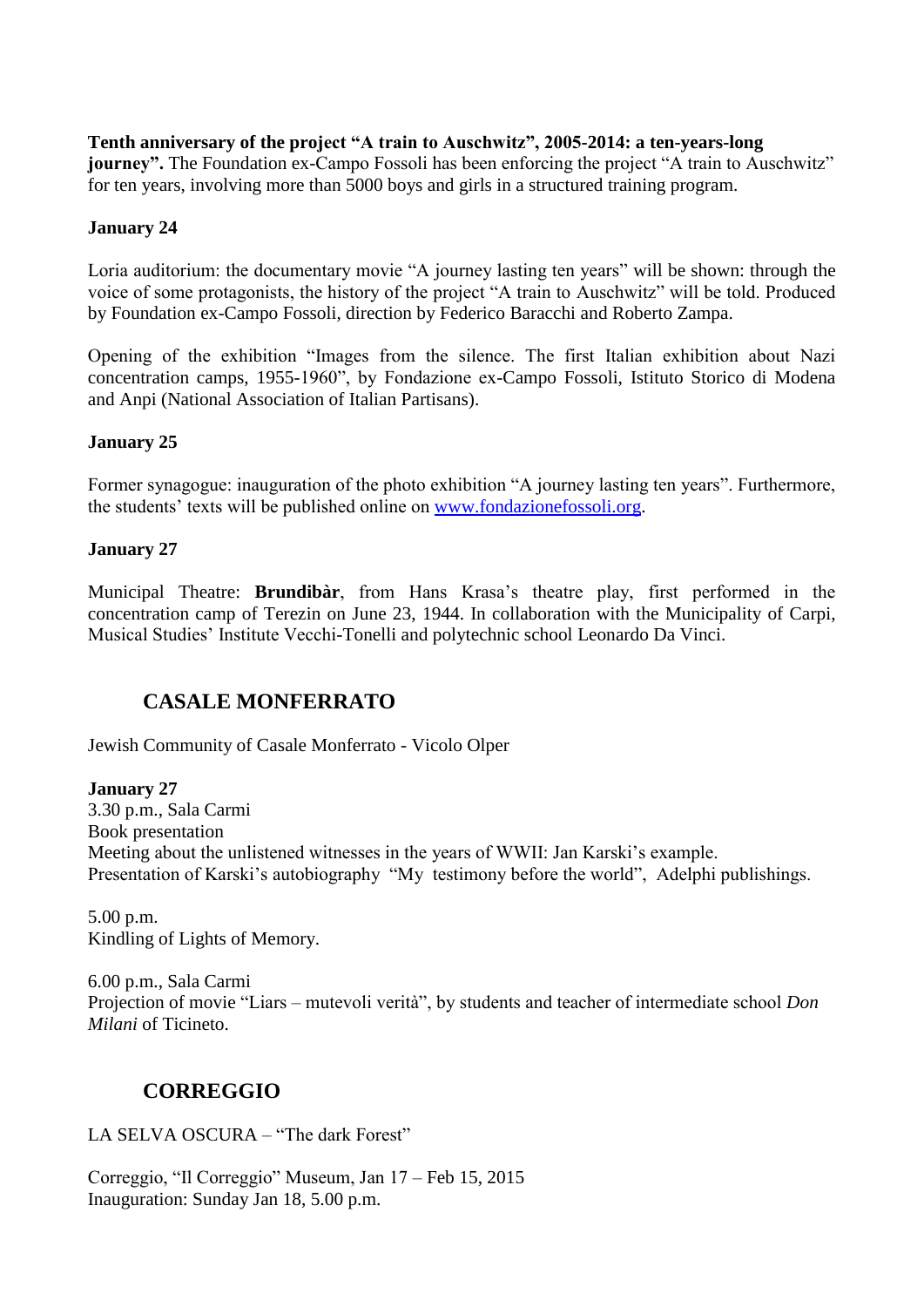**Tenth anniversary of the project "A train to Auschwitz", 2005-2014: a ten-years-long journey".** The Foundation ex-Campo Fossoli has been enforcing the project "A train to Auschwitz" for ten years, involving more than 5000 boys and girls in a structured training program.

#### **January 24**

Loria auditorium: the documentary movie "A journey lasting ten years" will be shown: through the voice of some protagonists, the history of the project "A train to Auschwitz" will be told. Produced by Foundation ex-Campo Fossoli, direction by Federico Baracchi and Roberto Zampa.

Opening of the exhibition "Images from the silence. The first Italian exhibition about Nazi concentration camps, 1955-1960", by Fondazione ex-Campo Fossoli, Istituto Storico di Modena and Anpi (National Association of Italian Partisans).

#### **January 25**

Former synagogue: inauguration of the photo exhibition "A journey lasting ten years". Furthermore, the students' texts will be published online on [www.fondazionefossoli.org.](http://www.fondazionefossoli.org/)

#### **January 27**

Municipal Theatre: **Brundibàr**, from Hans Krasa's theatre play, first performed in the concentration camp of Terezin on June 23, 1944. In collaboration with the Municipality of Carpi, Musical Studies' Institute Vecchi-Tonelli and polytechnic school Leonardo Da Vinci.

# **CASALE MONFERRATO**

Jewish Community of Casale Monferrato - Vicolo Olper

**January 27**  3.30 p.m., Sala Carmi Book presentation Meeting about the unlistened witnesses in the years of WWII: Jan Karski's example. Presentation of Karski's autobiography "My testimony before the world", Adelphi publishings.

5.00 p.m. Kindling of Lights of Memory.

6.00 p.m., Sala Carmi Projection of movie "Liars – mutevoli verità", by students and teacher of intermediate school *Don Milani* of Ticineto.

# **CORREGGIO**

LA SELVA OSCURA – "The dark Forest"

Correggio, "Il Correggio" Museum, Jan 17 – Feb 15, 2015 Inauguration: Sunday Jan 18, 5.00 p.m.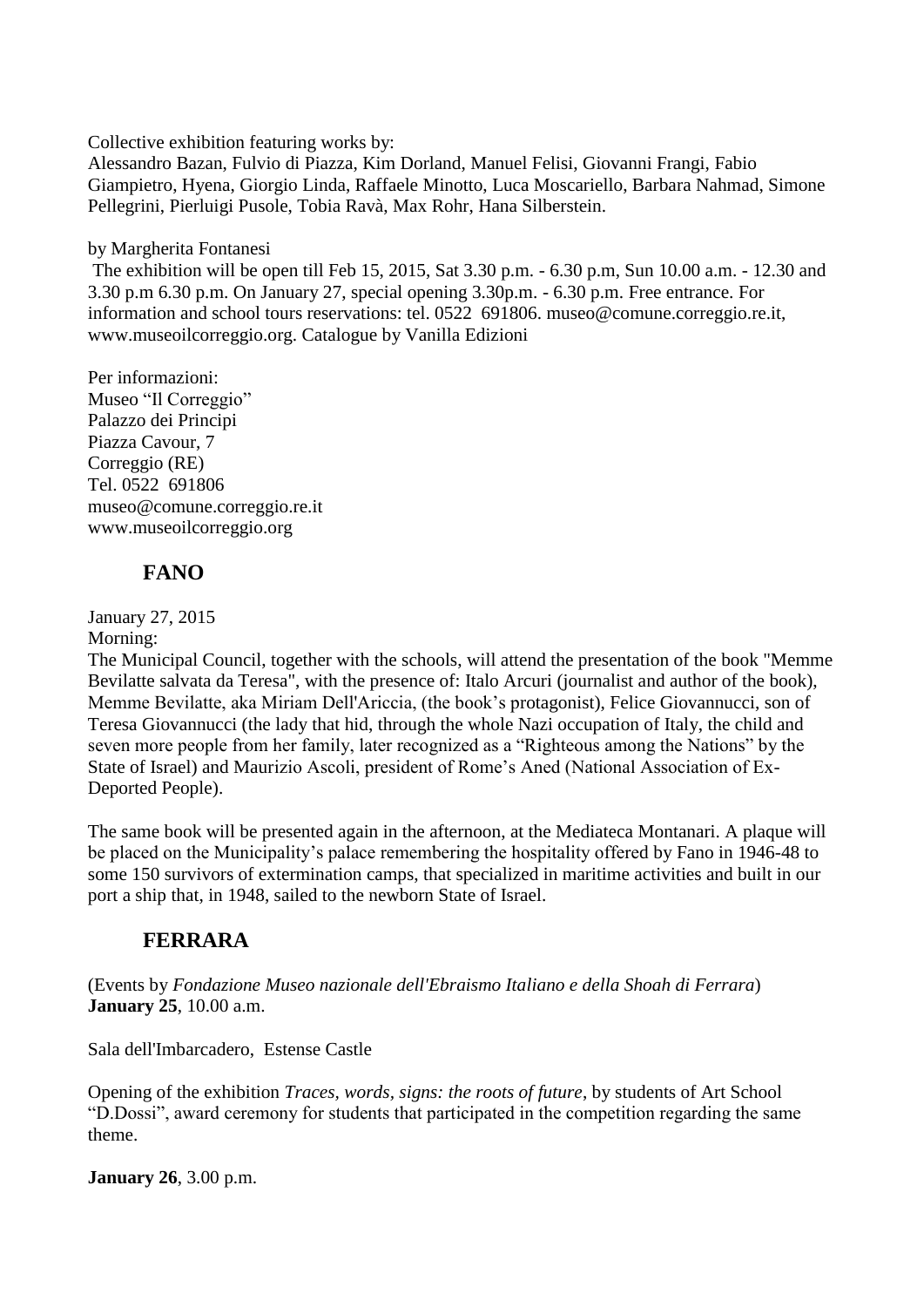Collective exhibition featuring works by:

Alessandro Bazan, Fulvio di Piazza, Kim Dorland, Manuel Felisi, Giovanni Frangi, Fabio Giampietro, Hyena, Giorgio Linda, Raffaele Minotto, Luca Moscariello, Barbara Nahmad, Simone Pellegrini, Pierluigi Pusole, Tobia Ravà, Max Rohr, Hana Silberstein.

by Margherita Fontanesi

The exhibition will be open till Feb 15, 2015, Sat 3.30 p.m. - 6.30 p.m, Sun 10.00 a.m. - 12.30 and 3.30 p.m 6.30 p.m. On January 27, special opening 3.30p.m. - 6.30 p.m. Free entrance. For information and school tours reservations: tel. 0522 691806. museo@comune.correggio.re.it, www.museoilcorreggio.org. Catalogue by Vanilla Edizioni

Per informazioni: Museo "Il Correggio" Palazzo dei Principi Piazza Cavour, 7 Correggio (RE) Tel. 0522 691806 museo@comune.correggio.re.it www.museoilcorreggio.org

# **FANO**

January 27, 2015

# Morning:

The Municipal Council, together with the schools, will attend the presentation of the book "Memme Bevilatte salvata da Teresa", with the presence of: Italo Arcuri (journalist and author of the book), Memme Bevilatte, aka Miriam Dell'Ariccia, (the book's protagonist), Felice Giovannucci, son of Teresa Giovannucci (the lady that hid, through the whole Nazi occupation of Italy, the child and seven more people from her family, later recognized as a "Righteous among the Nations" by the State of Israel) and Maurizio Ascoli, president of Rome's Aned (National Association of Ex-Deported People).

The same book will be presented again in the afternoon, at the Mediateca Montanari. A plaque will be placed on the Municipality's palace remembering the hospitality offered by Fano in 1946-48 to some 150 survivors of extermination camps, that specialized in maritime activities and built in our port a ship that, in 1948, sailed to the newborn State of Israel.

# **FERRARA**

(Events by *Fondazione Museo nazionale dell'Ebraismo Italiano e della Shoah di Ferrara*) **January 25**, 10.00 a.m.

Sala dell'Imbarcadero, Estense Castle

Opening of the exhibition *Traces, words, signs: the roots of future*, by students of Art School "D.Dossi", award ceremony for students that participated in the competition regarding the same theme.

**January 26**, 3.00 p.m.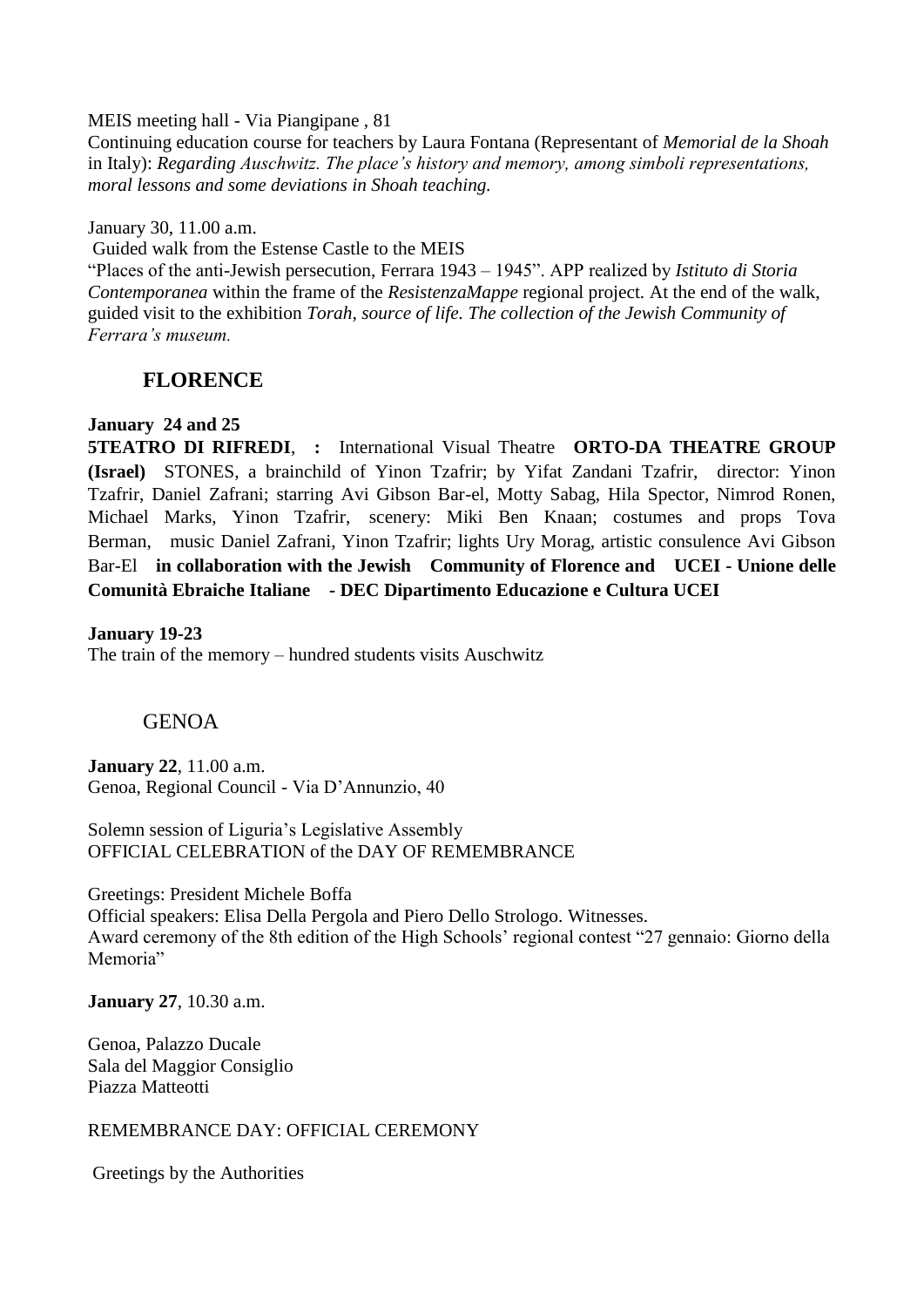MEIS meeting hall - Via Piangipane , 81

Continuing education course for teachers by Laura Fontana (Representant of *Memorial de la Shoah* in Italy): *Regarding Auschwitz. The place's history and memory, among simboli representations, moral lessons and some deviations in Shoah teaching.*

January 30, 11.00 a.m.

Guided walk from the Estense Castle to the MEIS

"Places of the anti-Jewish persecution, Ferrara 1943 – 1945". APP realized by *Istituto di Storia Contemporanea* within the frame of the *ResistenzaMappe* regional project. At the end of the walk, guided visit to the exhibition *Torah, source of life. The collection of the Jewish Community of Ferrara's museum.*

# **FLORENCE**

#### **January 24 and 25**

**5TEATRO DI RIFREDI**, **:** International Visual Theatre **ORTO-DA THEATRE GROUP (Israel)** STONES, a brainchild of Yinon Tzafrir; by Yifat Zandani Tzafrir, director: Yinon Tzafrir, Daniel Zafrani; starring Avi Gibson Bar-el, Motty Sabag, Hila Spector, Nimrod Ronen, Michael Marks, Yinon Tzafrir, scenery: Miki Ben Knaan; costumes and props Tova Berman, music Daniel Zafrani, Yinon Tzafrir; lights Ury Morag, artistic consulence Avi Gibson Bar-El **in collaboration with the Jewish Community of Florence and UCEI - Unione delle Comunità Ebraiche Italiane - DEC Dipartimento Educazione e Cultura UCEI**

**January 19-23**  The train of the memory – hundred students visits Auschwitz

## GENOA

**January 22**, 11.00 a.m. Genoa, Regional Council - Via D'Annunzio, 40

Solemn session of Liguria's Legislative Assembly OFFICIAL CELEBRATION of the DAY OF REMEMBRANCE

Greetings: President Michele Boffa Official speakers: Elisa Della Pergola and Piero Dello Strologo. Witnesses. Award ceremony of the 8th edition of the High Schools' regional contest "27 gennaio: Giorno della Memoria"

**January 27**, 10.30 a.m.

Genoa, Palazzo Ducale Sala del Maggior Consiglio Piazza Matteotti

REMEMBRANCE DAY: OFFICIAL CEREMONY

Greetings by the Authorities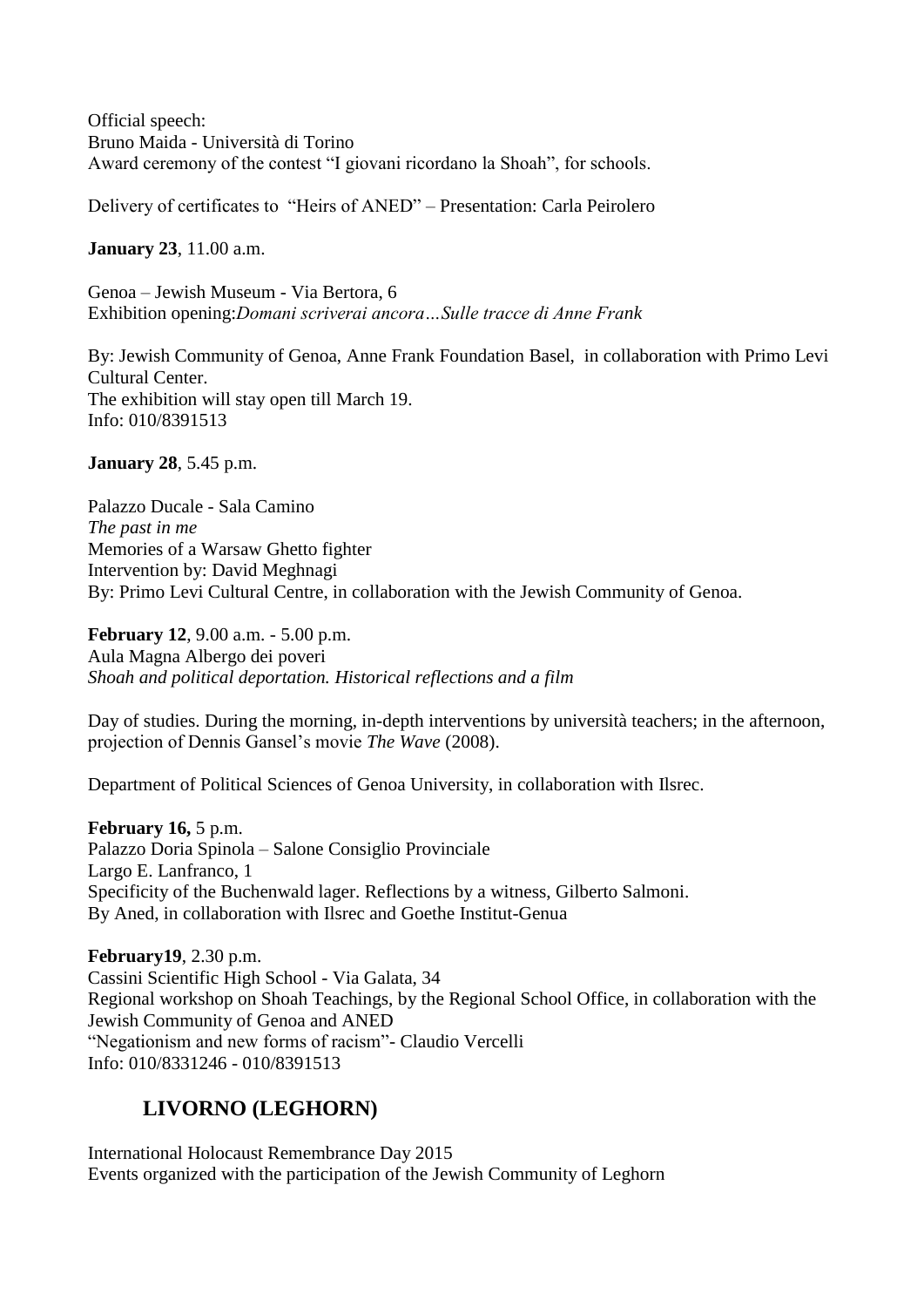Official speech: Bruno Maida - Università di Torino Award ceremony of the contest "I giovani ricordano la Shoah", for schools.

Delivery of certificates to "Heirs of ANED" – Presentation: Carla Peirolero

**January 23**, 11.00 a.m.

Genoa – Jewish Museum - Via Bertora, 6 Exhibition opening:*Domani scriverai ancora…Sulle tracce di Anne Frank*

By: Jewish Community of Genoa, Anne Frank Foundation Basel, in collaboration with Primo Levi Cultural Center. The exhibition will stay open till March 19. Info: 010/8391513

**January 28**, 5.45 p.m.

Palazzo Ducale - Sala Camino *The past in me* Memories of a Warsaw Ghetto fighter Intervention by: David Meghnagi By: Primo Levi Cultural Centre, in collaboration with the Jewish Community of Genoa.

**February 12**, 9.00 a.m. - 5.00 p.m. Aula Magna Albergo dei poveri *Shoah and political deportation. Historical reflections and a film*

Day of studies. During the morning, in-depth interventions by università teachers; in the afternoon, projection of Dennis Gansel's movie *The Wave* (2008).

Department of Political Sciences of Genoa University, in collaboration with Ilsrec.

**February 16,** 5 p.m. Palazzo Doria Spinola – Salone Consiglio Provinciale Largo E. Lanfranco, 1 Specificity of the Buchenwald lager. Reflections by a witness, Gilberto Salmoni. By Aned, in collaboration with Ilsrec and Goethe Institut-Genua

**February19**, 2.30 p.m. Cassini Scientific High School - Via Galata, 34 Regional workshop on Shoah Teachings, by the Regional School Office, in collaboration with the Jewish Community of Genoa and ANED "Negationism and new forms of racism"- Claudio Vercelli Info: 010/8331246 - 010/8391513

# **LIVORNO (LEGHORN)**

International Holocaust Remembrance Day 2015 Events organized with the participation of the Jewish Community of Leghorn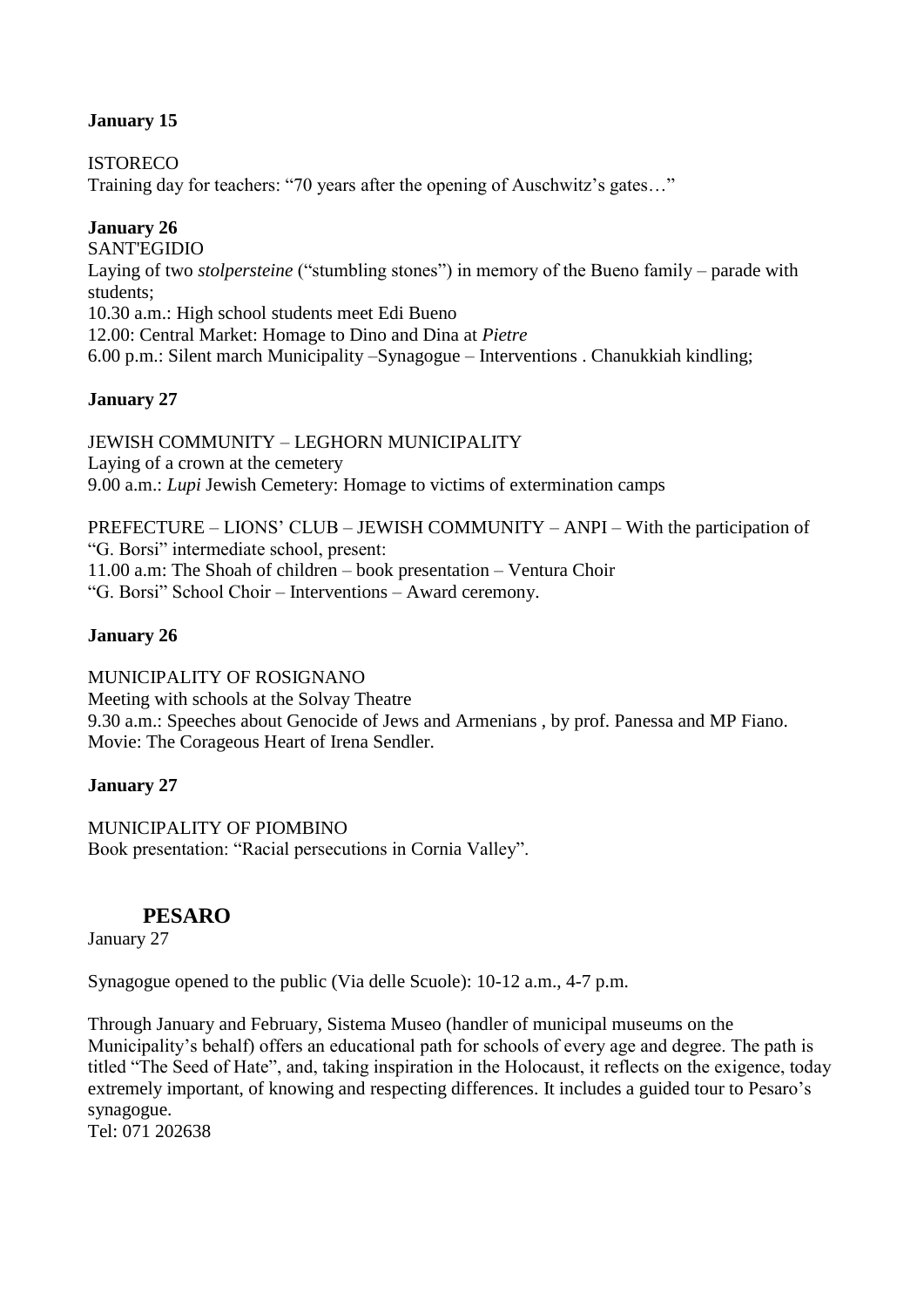# **January 15**

**ISTORECO** 

Training day for teachers: "70 years after the opening of Auschwitz's gates…"

# **January 26**

SANT'EGIDIO Laying of two *stolpersteine* ("stumbling stones") in memory of the Bueno family – parade with students; 10.30 a.m.: High school students meet Edi Bueno 12.00: Central Market: Homage to Dino and Dina at *Pietre* 6.00 p.m.: Silent march Municipality –Synagogue – Interventions . Chanukkiah kindling;

# **January 27**

JEWISH COMMUNITY – LEGHORN MUNICIPALITY Laying of a crown at the cemetery 9.00 a.m.: *Lupi* Jewish Cemetery: Homage to victims of extermination camps

PREFECTURE – LIONS' CLUB – JEWISH COMMUNITY – ANPI – With the participation of "G. Borsi" intermediate school, present: 11.00 a.m: The Shoah of children – book presentation – Ventura Choir "G. Borsi" School Choir – Interventions – Award ceremony.

# **January 26**

MUNICIPALITY OF ROSIGNANO Meeting with schools at the Solvay Theatre 9.30 a.m.: Speeches about Genocide of Jews and Armenians , by prof. Panessa and MP Fiano. Movie: The Corageous Heart of Irena Sendler.

## **January 27**

MUNICIPALITY OF PIOMBINO Book presentation: "Racial persecutions in Cornia Valley".

# **PESARO**

January 27

Synagogue opened to the public (Via delle Scuole): 10-12 a.m., 4-7 p.m.

Through January and February, Sistema Museo (handler of municipal museums on the Municipality's behalf) offers an educational path for schools of every age and degree. The path is titled "The Seed of Hate", and, taking inspiration in the Holocaust, it reflects on the exigence, today extremely important, of knowing and respecting differences. It includes a guided tour to Pesaro's synagogue. Tel: 071 202638